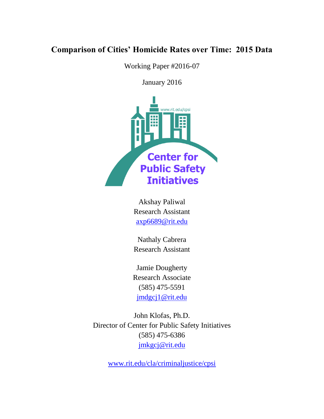# **Comparison of Cities' Homicide Rates over Time: 2015 Data**

Working Paper #2016-07

January 2016



Akshay Paliwal Research Assistant [axp6689@rit.edu](mailto:axp6689@rit.edu)

Nathaly Cabrera Research Assistant

Jamie Dougherty Research Associate (585) 475-5591 [jmdgcj1@rit.edu](mailto:jmdgcj1@rit.edu)

John Klofas, Ph.D. Director of Center for Public Safety Initiatives (585) 475-6386 [jmkgcj@rit.edu](mailto:jmkgcj@rit.edu)

[www.rit.edu/cla/criminaljustice/cpsi](http://www.rit.edu/cla/criminaljustice/cpsi)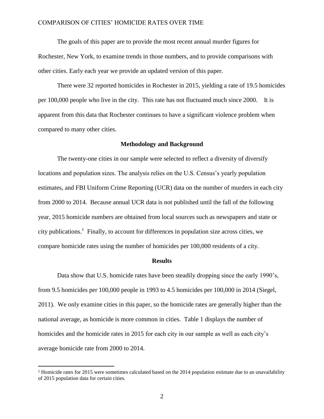The goals of this paper are to provide the most recent annual murder figures for Rochester, New York, to examine trends in those numbers, and to provide comparisons with other cities. Early each year we provide an updated version of this paper.

There were 32 reported homicides in Rochester in 2015, yielding a rate of 19.5 homicides per 100,000 people who live in the city. This rate has not fluctuated much since 2000. It is apparent from this data that Rochester continues to have a significant violence problem when compared to many other cities.

#### **Methodology and Background**

The twenty-one cities in our sample were selected to reflect a diversity of diversify locations and population sizes. The analysis relies on the U.S. Census's yearly population estimates, and FBI Uniform Crime Reporting (UCR) data on the number of murders in each city from 2000 to 2014. Because annual UCR data is not published until the fall of the following year, 2015 homicide numbers are obtained from local sources such as newspapers and state or city publications.<sup>1</sup> Finally, to account for differences in population size across cities, we compare homicide rates using the number of homicides per 100,000 residents of a city.

#### **Results**

Data show that U.S. homicide rates have been steadily dropping since the early 1990's, from 9.5 homicides per 100,000 people in 1993 to 4.5 homicides per 100,000 in 2014 (Siegel, 2011). We only examine cities in this paper, so the homicide rates are generally higher than the national average, as homicide is more common in cities. Table 1 displays the number of homicides and the homicide rates in 2015 for each city in our sample as well as each city's average homicide rate from 2000 to 2014.

 $\overline{a}$ 

<sup>1</sup> Homicide rates for 2015 were sometimes calculated based on the 2014 population estimate due to an unavailability of 2015 population data for certain cities.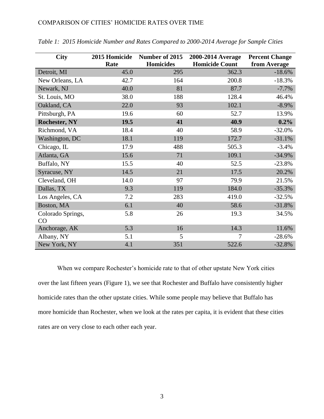| <b>City</b>             | 2015 Homicide | Number of 2015   | 2000-2014 Average     | <b>Percent Change</b> |
|-------------------------|---------------|------------------|-----------------------|-----------------------|
|                         | Rate          | <b>Homicides</b> | <b>Homicide Count</b> | from Average          |
| Detroit, MI             | 45.0          | 295              | 362.3                 | $-18.6%$              |
| New Orleans, LA         | 42.7          | 164              | 200.8                 | $-18.3%$              |
| Newark, NJ              | 40.0          | 81               | 87.7                  | $-7.7%$               |
| St. Louis, MO           | 38.0          | 188              | 128.4                 | 46.4%                 |
| Oakland, CA             | 22.0          | 93               | 102.1                 | $-8.9\%$              |
| Pittsburgh, PA          | 19.6          | 60               | 52.7                  | 13.9%                 |
| <b>Rochester, NY</b>    | 19.5          | 41               | 40.9                  | 0.2%                  |
| Richmond, VA            | 18.4          | 40               | 58.9                  | $-32.0%$              |
| Washington, DC          | 18.1          | 119              | 172.7                 | $-31.1%$              |
| Chicago, IL             | 17.9          | 488              | 505.3                 | $-3.4%$               |
| Atlanta, GA             | 15.6          | 71               | 109.1                 | $-34.9%$              |
| Buffalo, NY             | 15.5          | 40               | 52.5                  | $-23.8%$              |
| Syracuse, NY            | 14.5          | 21               | 17.5                  | 20.2%                 |
| Cleveland, OH           | 14.0          | 97               | 79.9                  | 21.5%                 |
| Dallas, TX              | 9.3           | 119              | 184.0                 | $-35.3%$              |
| Los Angeles, CA         | 7.2           | 283              | 419.0                 | $-32.5%$              |
| Boston, MA              | 6.1           | 40               | 58.6                  | $-31.8%$              |
| Colorado Springs,<br>CO | 5.8           | 26               | 19.3                  | 34.5%                 |
| Anchorage, AK           | 5.3           | 16               | 14.3                  | 11.6%                 |
| Albany, NY              | 5.1           | 5                | 7                     | $-28.6%$              |
| New York, NY            | 4.1           | 351              | 522.6                 | $-32.8%$              |

*Table 1: 2015 Homicide Number and Rates Compared to 2000-2014 Average for Sample Cities*

When we compare Rochester's homicide rate to that of other upstate New York cities over the last fifteen years (Figure 1), we see that Rochester and Buffalo have consistently higher homicide rates than the other upstate cities. While some people may believe that Buffalo has more homicide than Rochester, when we look at the rates per capita, it is evident that these cities rates are on very close to each other each year.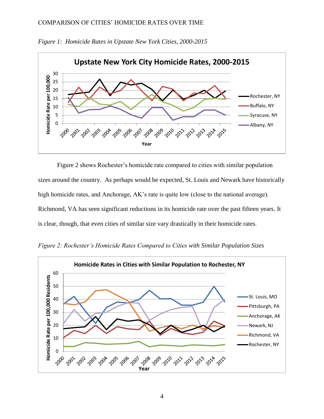

*Figure 1: Homicide Rates in Upstate New York Cities, 2000-2015*

Figure 2 shows Rochester's homicide rate compared to cities with similar population sizes around the country. As perhaps would be expected, St. Louis and Newark have historically high homicide rates, and Anchorage, AK's rate is quite low (close to the national average). Richmond, VA has seen significant reductions in its homicide rate over the past fifteen years. It is clear, though, that even cities of similar size vary drastically in their homicide rates.

*Figure 2: Rochester's Homicide Rates Compared to Cities with Similar Population Sizes*

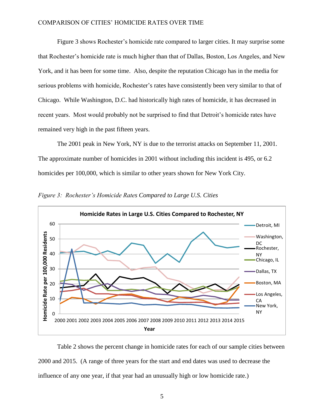Figure 3 shows Rochester's homicide rate compared to larger cities. It may surprise some that Rochester's homicide rate is much higher than that of Dallas, Boston, Los Angeles, and New York, and it has been for some time. Also, despite the reputation Chicago has in the media for serious problems with homicide, Rochester's rates have consistently been very similar to that of Chicago. While Washington, D.C. had historically high rates of homicide, it has decreased in recent years. Most would probably not be surprised to find that Detroit's homicide rates have remained very high in the past fifteen years.

The 2001 peak in New York, NY is due to the terrorist attacks on September 11, 2001. The approximate number of homicides in 2001 without including this incident is 495, or 6.2 homicides per 100,000, which is similar to other years shown for New York City.



*Figure 3: Rochester's Homicide Rates Compared to Large U.S. Cities*

Table 2 shows the percent change in homicide rates for each of our sample cities between 2000 and 2015. (A range of three years for the start and end dates was used to decrease the influence of any one year, if that year had an unusually high or low homicide rate.)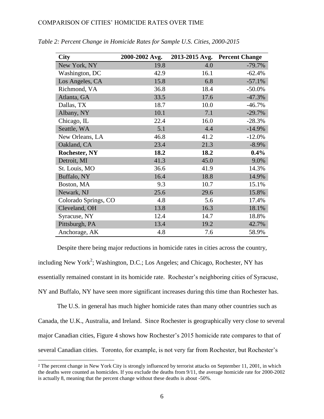| <b>City</b>          | 2000-2002 Avg. | 2013-2015 Avg. | <b>Percent Change</b> |
|----------------------|----------------|----------------|-----------------------|
| New York, NY         | 19.8           | 4.0            | $-79.7%$              |
| Washington, DC       | 42.9           | 16.1           | $-62.4%$              |
| Los Angeles, CA      | 15.8           | 6.8            | $-57.1%$              |
| Richmond, VA         | 36.8           | 18.4           | $-50.0\%$             |
| Atlanta, GA          | 33.5           | 17.6           | $-47.3%$              |
| Dallas, TX           | 18.7           | 10.0           | $-46.7%$              |
| Albany, NY           | 10.1           | 7.1            | $-29.7%$              |
| Chicago, IL          | 22.4           | 16.0           | $-28.3%$              |
| Seattle, WA          | 5.1            | 4.4            | $-14.9%$              |
| New Orleans, LA      | 46.8           | 41.2           | $-12.0%$              |
| Oakland, CA          | 23.4           | 21.3           | $-8.9\%$              |
| <b>Rochester, NY</b> | 18.2           | 18.2           | $0.4\%$               |
| Detroit, MI          | 41.3           | 45.0           | 9.0%                  |
| St. Louis, MO        | 36.6           | 41.9           | 14.3%                 |
| Buffalo, NY          | 16.4           | 18.8           | 14.9%                 |
| Boston, MA           | 9.3            | 10.7           | 15.1%                 |
| Newark, NJ           | 25.6           | 29.6           | 15.8%                 |
| Colorado Springs, CO | 4.8            | 5.6            | 17.4%                 |
| Cleveland, OH        | 13.8           | 16.3           | 18.1%                 |
| Syracuse, NY         | 12.4           | 14.7           | 18.8%                 |
| Pittsburgh, PA       | 13.4           | 19.2           | 42.7%                 |
| Anchorage, AK        | 4.8            | 7.6            | 58.9%                 |

*Table 2: Percent Change in Homicide Rates for Sample U.S. Cities, 2000-2015*

Despite there being major reductions in homicide rates in cities across the country, including New York<sup>2</sup>; Washington, D.C.; Los Angeles; and Chicago, Rochester, NY has essentially remained constant in its homicide rate. Rochester's neighboring cities of Syracuse, NY and Buffalo, NY have seen more significant increases during this time than Rochester has.

The U.S. in general has much higher homicide rates than many other countries such as Canada, the U.K., Australia, and Ireland. Since Rochester is geographically very close to several major Canadian cities, Figure 4 shows how Rochester's 2015 homicide rate compares to that of several Canadian cities. Toronto, for example, is not very far from Rochester, but Rochester's

 $\overline{a}$ 

<sup>&</sup>lt;sup>2</sup> The percent change in New York City is strongly influenced by terrorist attacks on September 11, 2001, in which the deaths were counted as homicides. If you exclude the deaths from 9/11, the average homicide rate for 2000-2002 is actually 8, meaning that the percent change without these deaths is about -50%.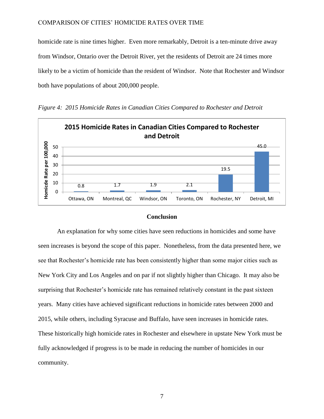homicide rate is nine times higher. Even more remarkably, Detroit is a ten-minute drive away from Windsor, Ontario over the Detroit River, yet the residents of Detroit are 24 times more likely to be a victim of homicide than the resident of Windsor. Note that Rochester and Windsor both have populations of about 200,000 people.



*Figure 4: 2015 Homicide Rates in Canadian Cities Compared to Rochester and Detroit*

#### **Conclusion**

An explanation for why some cities have seen reductions in homicides and some have seen increases is beyond the scope of this paper. Nonetheless, from the data presented here, we see that Rochester's homicide rate has been consistently higher than some major cities such as New York City and Los Angeles and on par if not slightly higher than Chicago. It may also be surprising that Rochester's homicide rate has remained relatively constant in the past sixteen years. Many cities have achieved significant reductions in homicide rates between 2000 and 2015, while others, including Syracuse and Buffalo, have seen increases in homicide rates. These historically high homicide rates in Rochester and elsewhere in upstate New York must be fully acknowledged if progress is to be made in reducing the number of homicides in our community.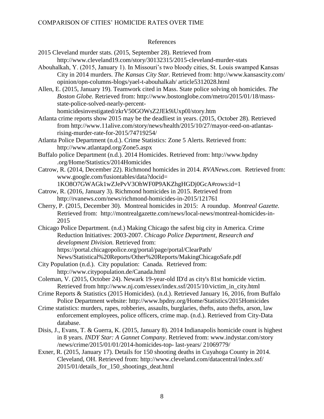## References

| references                                                                                                                                                                                                                                                                                                                                                                                                                                                                                              |  |  |  |
|---------------------------------------------------------------------------------------------------------------------------------------------------------------------------------------------------------------------------------------------------------------------------------------------------------------------------------------------------------------------------------------------------------------------------------------------------------------------------------------------------------|--|--|--|
| 2015 Cleveland murder stats. (2015, September 28). Retrieved from<br>http://www.cleveland19.com/story/30132315/2015-cleveland-murder-stats<br>Abouhalkah, Y. (2015, January 1). In Missouri's two bloody cities, St. Louis swamped Kansas<br>City in 2014 murders. The Kansas City Star. Retrieved from: http://www.kansascity.com/<br>opinion/opn-columns-blogs/yael-t-abouhalkah/ article5312028.html<br>Allen, E. (2015, January 19). Teamwork cited in Mass. State police solving oh homicides. The |  |  |  |
| Boston Globe. Retrieved from: http://www.bostonglobe.com/metro/2015/01/18/mass-                                                                                                                                                                                                                                                                                                                                                                                                                         |  |  |  |
| state-police-solved-nearly-percent-                                                                                                                                                                                                                                                                                                                                                                                                                                                                     |  |  |  |
| homicidesinvestigated/zkrV50GOWsZ2JEk9iUxp0I/story.htm                                                                                                                                                                                                                                                                                                                                                                                                                                                  |  |  |  |
| Atlanta crime reports show 2015 may be the deadliest in years. (2015, October 28). Retrieved                                                                                                                                                                                                                                                                                                                                                                                                            |  |  |  |
| from http://www.11alive.com/story/news/health/2015/10/27/mayor-reed-on-atlantas-                                                                                                                                                                                                                                                                                                                                                                                                                        |  |  |  |
| rising-murder-rate-for-2015/74719254/                                                                                                                                                                                                                                                                                                                                                                                                                                                                   |  |  |  |
| Atlanta Police Department (n.d.). Crime Statistics: Zone 5 Alerts. Retrieved from:                                                                                                                                                                                                                                                                                                                                                                                                                      |  |  |  |
| http://www.atlantapd.org/Zone5.aspx                                                                                                                                                                                                                                                                                                                                                                                                                                                                     |  |  |  |
| Buffalo police Department (n.d.). 2014 Homicides. Retrieved from: http://www.bpdny                                                                                                                                                                                                                                                                                                                                                                                                                      |  |  |  |
| .org/Home/Statistics/2014Homicides                                                                                                                                                                                                                                                                                                                                                                                                                                                                      |  |  |  |
| Catrow, R. (2014, December 22). Richmond homicides in 2014. RVANews.com. Retrieved from:                                                                                                                                                                                                                                                                                                                                                                                                                |  |  |  |
| www.google.com/fusiontables/data?docid=                                                                                                                                                                                                                                                                                                                                                                                                                                                                 |  |  |  |
| 1KO8O7GWAGk1wZJePvV3OhWF0P9AKZhgHGDj0GcA#rows:id=1                                                                                                                                                                                                                                                                                                                                                                                                                                                      |  |  |  |
| Catrow, R. (2016, January 3). Richmond homicides in 2015. Retrieved from                                                                                                                                                                                                                                                                                                                                                                                                                                |  |  |  |
| http://rvanews.com/news/richmond-homicides-in-2015/121761                                                                                                                                                                                                                                                                                                                                                                                                                                               |  |  |  |
| Cherry, P. (2015, December 30). Montreal homicides in 2015: A roundup. Montreal Gazette.                                                                                                                                                                                                                                                                                                                                                                                                                |  |  |  |
| Retrieved from: http://montrealgazette.com/news/local-news/montreal-homicides-in-                                                                                                                                                                                                                                                                                                                                                                                                                       |  |  |  |
| 2015                                                                                                                                                                                                                                                                                                                                                                                                                                                                                                    |  |  |  |
| Chicago Police Department. (n.d.) Making Chicago the safest big city in America. Crime                                                                                                                                                                                                                                                                                                                                                                                                                  |  |  |  |
| Reduction Initiatives: 2003-2007. Chicago Police Department, Research and<br>development Division. Retrieved from:                                                                                                                                                                                                                                                                                                                                                                                      |  |  |  |
| https://portal.chicagopolice.org/portal/page/portal/ClearPath/                                                                                                                                                                                                                                                                                                                                                                                                                                          |  |  |  |
| News/Statistical%20Reports/Other%20Reports/MakingChicagoSafe.pdf                                                                                                                                                                                                                                                                                                                                                                                                                                        |  |  |  |
| City Population (n.d.). City population: Canada. Retrieved from:                                                                                                                                                                                                                                                                                                                                                                                                                                        |  |  |  |
| http://www.citypopulation.de/Canada.html                                                                                                                                                                                                                                                                                                                                                                                                                                                                |  |  |  |
| Coleman, V. (2015, October 24). Newark 19-year-old ID'd as city's 81st homicide victim.                                                                                                                                                                                                                                                                                                                                                                                                                 |  |  |  |
| Retrieved from http://www.nj.com/essex/index.ssf/2015/10/victim_in_city.html                                                                                                                                                                                                                                                                                                                                                                                                                            |  |  |  |
| Crime Reports & Statistics (2015 Homicides). (n.d.). Retrieved January 16, 2016, from Buffalo                                                                                                                                                                                                                                                                                                                                                                                                           |  |  |  |
| Police Department website: http://www.bpdny.org/Home/Statistics/2015Homicides                                                                                                                                                                                                                                                                                                                                                                                                                           |  |  |  |
| $\frac{1}{1}$ 11 1 1 1 1 1 1 1 $\alpha$ 1 1 $\alpha$                                                                                                                                                                                                                                                                                                                                                                                                                                                    |  |  |  |

- Crime statistics: murders, rapes, robberies, assaults, burglaries, thefts, auto thefts, arson, law enforcement employees, police officers, crime map. (n.d.). Retrieved from City-Data database.
- Disis, J., Evans, T. & Guerra, K. (2015, January 8). 2014 Indianapolis homicide count is highest in 8 years. *INDY Star: A Gannet Company*. Retrieved from: www.indystar.com/story /news/crime/2015/01/01/2014-homicides-top- last-years/ 21069779/
- Exner, R. (2015, January 17). Details for 150 shooting deaths in Cuyahoga County in 2014. Cleveland, OH. Retrieved from: [http://www.cleveland.com/datacentral/index.ssf/](http://www.cleveland.com/datacentral/index.ssf/%20%202015/01/details_for_150_shootings_deat.html)  [2015/01/details\\_for\\_150\\_shootings\\_deat.html](http://www.cleveland.com/datacentral/index.ssf/%20%202015/01/details_for_150_shootings_deat.html)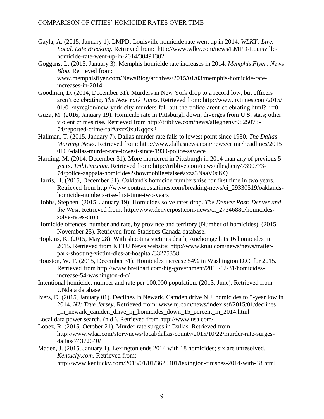- Gayla, A. (2015, January 1). LMPD: Louisville homicide rate went up in 2014. *WLKY: Live. Local. Late Breaking.* Retrieved from: http://www.wlky.com/news/LMPD-Louisvillehomicide-rate-went-up-in-2014/30491302
- Goggans, L. (2015, January 3). Memphis homicide rate increases in 2014. *Memphis Flyer: News Blog.* Retrieved from: www.memphisflyer.com/NewsBlog/archives/2015/01/03/memphis-homicide-rateincreases-in-2014
- Goodman, D. (2014, December 31). Murders in New York drop to a record low, but officers aren't celebrating. *The New York Times*. Retrieved from: [http://www.nytimes.com/2015/](http://www.nytimes.com/2015/01/01/)   $01/01/ny$  $01/01/ny$  region/new-york-city-murders-fall-but-the-police-arent-celebrating.html?  $r=0$
- Guza, M. (2016, January 19). Homicide rate in Pittsburgh down, diverges from U.S. stats; other violent crimes rise. Retrieved from http://triblive.com/news/allegheny/9825073- 74/reported-crime-fbi#axzz3xuKqqcx2
- Hallman, T. (2015, January 7). Dallas murder rate falls to lowest point since 1930. *The Dallas Morning News.* Retrieved from:<http://www.dallasnews.com/news/crime/headlines/2015> 0107-dallas-murder-rate-lowest-since-1930-police-say.ece
- Harding, M. (2014, December 31). More murdered in Pittsburgh in 2014 than any of previous 5 years. *TribLive.com.* Retrieved from: http://triblive.com/news/allegheny/7390773- 74/police-zappala-homicides?showmobile=false#axzz3NaaV0cKQ
- Harris, H. (2015, December 31). Oakland's homicide numbers rise for first time in two years. Retrieved from http://www.contracostatimes.com/breaking-news/ci\_29330519/oaklandshomicide-numbers-rise-first-time-two-years
- Hobbs, Stephen. (2015, January 19). Homicides solve rates drop. *The Denver Post: Denver and the West*. Retrieved from: [http://www.denverpost.com/news/ci\\_27346880/homicides](http://www.denverpost.com/news/ci_27346880/homicides-solve-rates-drop)[solve-rates-drop](http://www.denverpost.com/news/ci_27346880/homicides-solve-rates-drop)
- Homicide offences, number and rate, by province and territory (Number of homicides). (2015, November 25). Retrieved from Statistics Canada database.
- Hopkins, K. (2015, May 28). With shooting victim's death, Anchorage hits 16 homicides in 2015. Retrieved from KTTU News website: http://www.ktuu.com/news/news/trailerpark-shooting-victim-dies-at-hospital/33275358
- Houston, W. T. (2015, December 31). Homicides increase 54% in Washington D.C. for 2015. Retrieved from http://www.breitbart.com/big-government/2015/12/31/homicidesincrease-54-washington-d-c/
- Intentional homicide, number and rate per 100,000 population. (2013, June). Retrieved from UNdata database.
- Ivers, D. (2015, January 01). Declines in Newark, Camden drive N.J. homicides to 5-year low in 2014. *NJ: True Jersey*. Retrieved from: [www.nj.com/news/index.ssf/2015/01/declines](http://www.nj.com/news/index.ssf/2015/01/declines%20_in_newark_camden_drive_nj_homicides_down_15_percent_in_2014.html)  [\\_in\\_newark\\_camden\\_drive\\_nj\\_homicides\\_down\\_15\\_percent\\_in\\_2014.html](http://www.nj.com/news/index.ssf/2015/01/declines%20_in_newark_camden_drive_nj_homicides_down_15_percent_in_2014.html)

Local data power search. (n.d.). Retrieved from http://www.usa.com/

- Lopez, R. (2015, October 21). Murder rate surges in Dallas. Retrieved from http://www.wfaa.com/story/news/local/dallas-county/2015/10/22/murder-rate-surgesdallas/74372640/
- Maden, J. (2015, January 1). Lexington ends 2014 with 18 homicides; six are unresolved. *Kentucky.com.* Retrieved from:

<http://www.kentucky.com/2015/01/01/3620401/lexington-finishes-2014-with-18.html>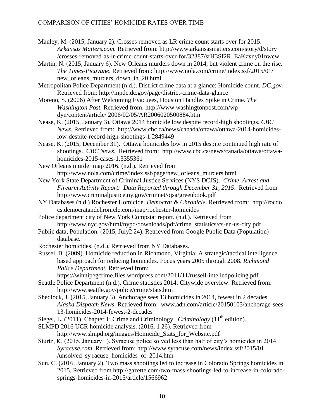- Manley, M. (2015, January 2). Crosses removed as LR crime count starts over for 2015. *Arkansas Matters.com.* Retrieved from:<http://www.arkansasmatters.com/story/d/story> /crosses-removed-as-lr-crime-count-starts-over-for/32387/srH3Sf2R\_EaKzxny01nwcw
- Martin, N. (2015, January 6). New Orleans murders down in 2014, but violent crime on the rise. *The Times-Picayune*. Retrieved from:<http://www.nola.com/crime/index.ssf/2015/01/> new\_orleans\_murders\_down\_in\_20.html
- Metropolitan Police Department (n.d.). District crime data at a glance: Homicide count. *DC.gov.* Retrieved from:<http://mpdc.dc.gov/page/district-crime-data-glance>
- Moreno, S. (2006) After Welcoming Evacuees, Houston Handles Spike in Crime. *The Washington Post.* Retrieved from: http://www.washingtonpost.com/wpdyn/content/article/ 2006/02/05/AR2006020500884.htm
- Nease, K. (2015, January 3). Ottawa 2014 homicide low despite record-high shootings. *CBC News*. Retrieved from: [http://www.cbc.ca/news/canada/ottawa/ottawa-2014-homicides](http://www.cbc.ca/news/canada/ottawa/ottawa-2014-homicides-low-despite-record-high-shootings-1.2849449)[low-despite-record-high-shootings-1.2849449](http://www.cbc.ca/news/canada/ottawa/ottawa-2014-homicides-low-despite-record-high-shootings-1.2849449)
- Nease, K. (2015, December 31). Ottawa homicides low in 2015 despite continued high rate of shootings. *CBC News*. Retrieved from: http://www.cbc.ca/news/canada/ottawa/ottawahomicides-2015-cases-1.3355361
- New Orleans murder map 2016. (n.d.). Retrieved from http://www.nola.com/crime/index.ssf/page/new\_orleans\_murders.html
- New York State Department of Criminal Justice Services (NYS DCJS). *Crime, Arrest and Firearm Activity Report: Data Reported through December 31, 2015*. Retrieved from http://www.criminaljustice.ny.gov/crimnet/ojsa/greenbook.pdf
- NY Databases (n.d.) Rochester Homicide. *Democrat & Chronicle*. Retrieved from: [http://rocdo](http://rocdo/) cs.democratandchronicle.com/map/rochester-homicides
- Police department city of New York Compstat report. (n.d.). Retrieved from http://www.nyc.gov/html/nypd/downloads/pdf/crime\_statistics/cs-en-us-city.pdf
- Public data, Population. (2015, July2 24). Retrieved from Google Public Data (Population) database.
- Rochester homicides. (n.d.). Retrieved from NY Databases.
- Russel, B. (2009). Homicide reduction in Richmond, Virginia: A strategic/tactical intelligence based approach for reducing homicides. Focus years 2005 through 2008. *Richmond Police Department.* Retrieved from:

https://winnipegcrime.files.wordpress.com/2011/11/russell-intelledpolicing.pdf

Seattle Police Department (n.d.). Crime statistics 2014: Citywide overview. Retrieved from: http://www.seattle.gov/police/crime/stats.htm

- Shedlock, J. (2015, January 3). Anchorage sees 13 homicides in 2014, fewest in 2 decades. *Alaska Dispatch News.* Retrieved from: www.adn.com/article/20150103/anchorage-sees-13-homicides-2014-fewest-2-decades
- Siegel, L. (2011). Chapter 1: Crime and Criminology. *Criminology* (11<sup>th</sup> edition).
- SLMPD 2016 UCR homicide analysis. (2016, 1 26). Retrieved from

http://www.slmpd.org/images/Homicide\_Stats\_for\_Website.pdf

- Sturtz, K. (2015, January 1). Syracuse police solved less than half of city's homicides in 2014. *Syracuse.com*. Retrieved from: [http://www.syracuse.com/news/index.ssf/2015/01](http://www.syracuse.com/news/index.ssf/2015/01%20/unsolved_sy%20racuse_homicides_of_2014.htm)  [/unsolved\\_sy racuse\\_homicides\\_of\\_2014.htm](http://www.syracuse.com/news/index.ssf/2015/01%20/unsolved_sy%20racuse_homicides_of_2014.htm)
- Sun, C. (2016, January 2). Two mass shootings led to increase in Colorado Springs homicides in 2015. Retrieved from http://gazette.com/two-mass-shootings-led-to-increase-in-coloradosprings-homicides-in-2015/article/1566962